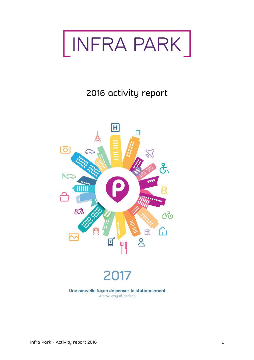

# 2016 activity report

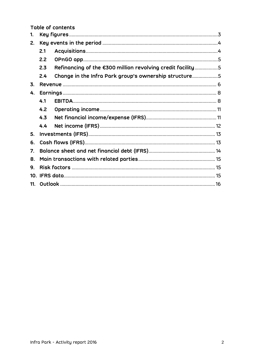Table of contents

| 1. |     |                                                            |  |  |
|----|-----|------------------------------------------------------------|--|--|
| 2. |     |                                                            |  |  |
|    | 2.1 |                                                            |  |  |
|    | 2.2 |                                                            |  |  |
|    | 2.3 | Refinancing of the €300 million revolving credit facility5 |  |  |
|    | 2.4 | Change in the Infra Park group's ownership structure5      |  |  |
| 3. |     |                                                            |  |  |
| 4. |     |                                                            |  |  |
|    | 4.1 |                                                            |  |  |
|    | 4.2 |                                                            |  |  |
|    | 4.3 |                                                            |  |  |
|    | 4.4 |                                                            |  |  |
| 5. |     |                                                            |  |  |
| 6. |     |                                                            |  |  |
| 7. |     |                                                            |  |  |
| 8. |     |                                                            |  |  |
| 9. |     |                                                            |  |  |
|    |     |                                                            |  |  |
|    |     |                                                            |  |  |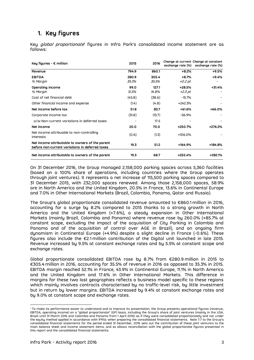# <span id="page-2-0"></span>**1. Key figures**

Key *global proportionate*' figures in Infra Park's consolidated income statement are as follows:

| Key figures - $\epsilon$ million                                                                                                                                                                                                                                                                                                                                                                                                                                                                                                                                                                                                                                                                                                                                                                                                                                                           | 2015           | 2016           | exchange rate (%)   | Change at current Change at constant<br>exchange rate (%) |
|--------------------------------------------------------------------------------------------------------------------------------------------------------------------------------------------------------------------------------------------------------------------------------------------------------------------------------------------------------------------------------------------------------------------------------------------------------------------------------------------------------------------------------------------------------------------------------------------------------------------------------------------------------------------------------------------------------------------------------------------------------------------------------------------------------------------------------------------------------------------------------------------|----------------|----------------|---------------------|-----------------------------------------------------------|
| Revenue                                                                                                                                                                                                                                                                                                                                                                                                                                                                                                                                                                                                                                                                                                                                                                                                                                                                                    | 794.9          | 860.1          | $+8.2%$             | +9.5%                                                     |
| <b>EBITDA</b><br>% Margin                                                                                                                                                                                                                                                                                                                                                                                                                                                                                                                                                                                                                                                                                                                                                                                                                                                                  | 280.9<br>35.3% | 305.4<br>35.5% | $+8.7%$<br>+0.2 pt  | +9.4%                                                     |
| Operating income<br>% Margin                                                                                                                                                                                                                                                                                                                                                                                                                                                                                                                                                                                                                                                                                                                                                                                                                                                               | 99.0<br>12.5%  | 127.1<br>14.8% | +28.5%<br>$+2.3$ pt | +31.4%                                                    |
| Cost of net financial debt                                                                                                                                                                                                                                                                                                                                                                                                                                                                                                                                                                                                                                                                                                                                                                                                                                                                 | (45.8)         | (38.6)         | $-15.7%$            |                                                           |
| Other financial income and expense                                                                                                                                                                                                                                                                                                                                                                                                                                                                                                                                                                                                                                                                                                                                                                                                                                                         | (1.4)          | (4.8)          | +242.3%             |                                                           |
| Net income before tax                                                                                                                                                                                                                                                                                                                                                                                                                                                                                                                                                                                                                                                                                                                                                                                                                                                                      | 51.8           | 83.7           | +61.6%              | $+66.0%$                                                  |
| Corporate income tax                                                                                                                                                                                                                                                                                                                                                                                                                                                                                                                                                                                                                                                                                                                                                                                                                                                                       | (31.8)         | (13.7)         | $-56.9%$            |                                                           |
| o/w Non-current variations in deferred taxes                                                                                                                                                                                                                                                                                                                                                                                                                                                                                                                                                                                                                                                                                                                                                                                                                                               |                | 17.5           |                     |                                                           |
| Net income                                                                                                                                                                                                                                                                                                                                                                                                                                                                                                                                                                                                                                                                                                                                                                                                                                                                                 | 20.0           | 70.0           | +250.7%             | +276.2%                                                   |
| Net income attribuable to non-controlling<br>interests                                                                                                                                                                                                                                                                                                                                                                                                                                                                                                                                                                                                                                                                                                                                                                                                                                     | (0.6)          | (1.3)          | +106.0%             |                                                           |
| Net income attributable to owners of the parent<br>before non-current variations in deferred taxes                                                                                                                                                                                                                                                                                                                                                                                                                                                                                                                                                                                                                                                                                                                                                                                         | 19.3           | 51.2           | +164.9%             | +184.8%                                                   |
| Net income attributable to owners of the parent                                                                                                                                                                                                                                                                                                                                                                                                                                                                                                                                                                                                                                                                                                                                                                                                                                            | 19.3           | 68.7           | +255.4%             | $+282.1%$                                                 |
| The Group's global proportionate consolidated revenue amounted to $\epsilon$ 860.1 million in 2016,<br>accounting for a surge by 8.2% compared to 2015 thanks to a strong growth in North<br>America and the United Kingdom (+7.6%), a steady expansion in Other International<br>Markets (mainly Brazil, Colombia and Panama) where revenue rose by 260.0% (+85.7% at<br>constant scope, excluding the impact of the acquisition of City Parking in Colombia and<br>Panama and of the acquisition of control over AGE in Brazil), and an ongoing firm<br>dynamism in Continental Europe (+4.9%) despite a slight decline in France (-0.6%). These<br>figures also include the $E2.1$ million contribution of the Digital unit launched in late 2015.<br>Revenue increased by 9.5% at constant exchange rates and by 5.5% at constant scope and<br>exchange rates.                         |                |                |                     |                                                           |
| Global proportionate consolidated EBITDA rose by 8.7% from €280.9 million in 2015 to<br>€305.4 million in 2016, accounting for 35.5% of revenue in 2016 as opposed to 35.3% in 2015.<br>EBITDA margin reached 52.1% in France, 43.9% in Continental Europe, 11.1% in North America<br>and the United Kingdom and 17.6% in Other International Markets. This difference in<br>margins for these two last geographies reflects a business model specific to these regions<br>which mainly involves contracts characterised by no traffic-level risk, by little investment<br>but in return by lower margins. EBITDA increased by 9.4% at constant exchange rates and<br>by 9.0% at constant scope and exchange rates.                                                                                                                                                                        |                |                |                     |                                                           |
| <sup>1</sup> To make its performance easier to understand and to improve its presentation, the Group presents operational figures (revenue<br>EBITDA, operating income) on a "global proportionate" (GP) basis, including the Group's share of joint ventures (mainly in the USA<br>Brazil until 31 March 2016 and Colombia and Panama from 1 April 2016) as if they were consolidated proportionately and not under<br>the equity method applied in accordance with IFRSs when preparing the consolidated financial statements.  Note 7.7 to the Group's<br>consolidated financial statements for the period ended 31 December, 2016 sets out the contribution of these joint ventures to the<br>main balance sheet and income statement items, and so allows reconciliation with the global proportionate figures presented in<br>this report and the consolidated financial statements. |                |                |                     |                                                           |

<sup>1</sup> To make its performance easier to understand and to improve its presentation, the Group presents operational figures (revenue, EBITDA, operating income) on a "global proportionate" (GP) basis, including the Group's share of joint ventures (mainly in the USA, Brazil until 31 March 2016 and Colombia and Panama from 1 April 2016) as if they were consolidated proportionately and not under the equity method applied in accordance with IFRSs when preparing the consolidated financial statements. Note 7.7 to the Group's consolidated financial statements for the period ended 31 December, 2016 sets out the contribution of these joint ventures to the main balance sheet and income statement items, and so allows reconciliation with the global proportionate figures presented in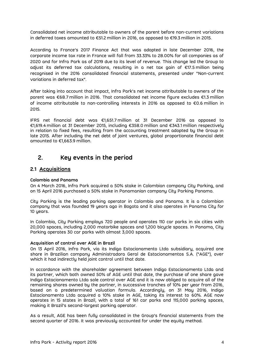Consolidated net income attributable to owners of the parent before non-current variations in deferred taxes amounted to €51.2 million in 2016, as opposed to €19.3 million in 2015.

According to France's 2017 Finance Act that was adopted in late December 2016, the corporate income tax rate in France will fall from 33.33% to 28.00% for all companies as of 2020 and for Infra Park as of 2019 due to its level of revenue. This change led the Group to adjust its deferred tax calculations, resulting in a net tax gain of €17.5 million being recognised in the 2016 consolidated financial statements, presented under "Non-current variations in deferred tax".

After taking into account that impact, Infra Park's net income attributable to owners of the parent was €68.7 million in 2016. That consolidated net income figure excludes €1.3 million of income attributable to non-controlling interests in 2016 as opposed to €0.6 million in 2015.

IFRS net financial debt was €1,651.7 million at 31 December 2016 as opposed to €1,619.4 million at 31 December 2015, including €358.0 million and €343.1 million respectively in relation to fixed fees, resulting from the accounting treatment adopted by the Group in late 2015. After including the net debt of joint ventures, global proportionate financial debt amounted to €1,663.9 million.

# <span id="page-3-0"></span>**2. Key events in the period**

### <span id="page-3-1"></span>**2.1 Acquisitions**

#### **Colombia and Panama**

On 4 March 2016, Infra Park acquired a 50% stake in Colombian company City Parking, and on 15 April 2016 purchased a 50% stake in Panamanian company City Parking Panama.

City Parking is the leading parking operator in Colombia and Panama. It is a Colombian company that was founded 19 years ago in Bogota and it also operates in Panama City for 10 years.

In Colombia, City Parking employs 720 people and operates 110 car parks in six cities with 20,000 spaces, including 2,000 motorbike spaces and 1,200 bicycle spaces. In Panama, City Parking operates 30 car parks with almost 3,000 spaces.

#### **Acquisition of control over AGE in Brazil**

On 13 April 2016, Infra Park, via its Indigo Estacionamento Ltda subsidiary, acquired one share in Brazilian company Administradora Geral de Estacionamentos S.A. ("AGE"), over which it had indirectly held joint control until that date.

In accordance with the shareholder agreement between Indigo Estacionamento Ltda and its partner, which both owned 50% of AGE until that date, the purchase of one share gave Indigo Estacionamento Ltda sole control over AGE and it is now obliged to acquire all of the remaining shares owned by the partner, in successive tranches of 10% per year from 2016, based on a predetermined valuation formula. Accordingly, on 31 May 2016, Indigo Estacionamento Ltda acquired a 10% stake in AGE, taking its interest to 60%. AGE now operates in 15 states in Brazil, with a total of 161 car parks and 115,000 parking spaces, making it Brazil's second-largest parking operator.

As a result, AGE has been fully consolidated in the Group's financial statements from the second quarter of 2016. It was previously accounted for under the equity method.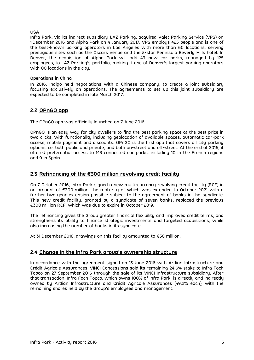#### **USA**

Infra Park, via its indirect subsidiary LAZ Parking, acquired Valet Parking Service (VPS) on 1 December 2016 and Alpha Park on 4 January 2017. VPS employs 425 people and is one of the best-known parking operators in Los Angeles with more than 60 locations, serving prestigious sites such as the Oscars venue and the 5-star Peninsula Beverly Hills hotel. In Denver, the acquisition of Alpha Park will add 49 new car parks, managed by 125 employees, to LAZ Parking's portfolio, making it one of Denver's largest parking operators with 80 locations in the city.

#### **Operations in China**

In 2016, Indigo held negotiations with a Chinese company, to create a joint subsidiary focusing exclusively on operations. The agreements to set up this joint subsidiary are expected to be completed in late March 2017.

### <span id="page-4-0"></span>**2.2 OPnGO app**

The OPnGO app was officially launched on 7 June 2016.

OPnGO is an easy way for city dwellers to find the best parking space at the best price in two clicks, with functionality including geolocation of available spaces, automatic car-park access, mobile payment and discounts. OPnGO is the first app that covers all city parking options, i.e. both public and private, and both on-street and off-street. At the end of 2016, it offered preferential access to 143 connected car parks, including 10 in the French regions and 9 in Spain.

### <span id="page-4-1"></span>**2.3 Refinancing of the €300 million revolving credit facility**

On 7 October 2016, Infra Park signed a new multi-currency revolving credit facility (RCF) in an amount of €300 million, the maturity of which was extended to October 2021 with a further two-year extension possible subject to the agreement of banks in the syndicate. This new credit facility, granted by a syndicate of seven banks, replaced the previous €300 million RCF, which was due to expire in October 2019.

The refinancing gives the Group greater financial flexibility and improved credit terms, and strengthens its ability to finance strategic investments and targeted acquisitions, while also increasing the number of banks in its syndicate.

At 31 December 2016, drawings on this facility amounted to €50 million.

#### <span id="page-4-2"></span>**2.4 Change in the Infra Park group's ownership structure**

In accordance with the agreement signed on 13 June 2016 with Ardian Infrastructure and Crédit Agricole Assurances, VINCI Concessions sold its remaining 24.6% stake to Infra Foch Topco on 27 September 2016 through the sale of its VINCI Infrastructure subsidiary. After that transaction, Infra Foch Topco, which owns 100% of Infra Park, is directly and indirectly owned by Ardian Infrastructure and Crédit Agricole Assurances (49.2% each), with the remaining shares held by the Group's employees and management.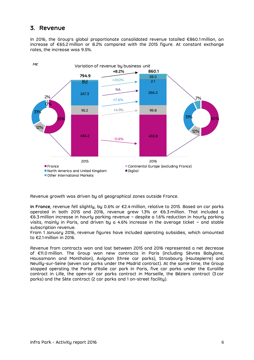# <span id="page-5-0"></span>**3. Revenue**

In 2016, the Group's global proportionate consolidated revenue totalled €860.1 million, an increase of €65.2 million or 8.2% compared with the 2015 figure. At constant exchange rates, the increase was 9.5%.



Revenue growth was driven by all geographical zones outside France.

**In France**, revenue fell slightly, by 0.6% or €2.4 million, relative to 2015. Based on car parks operated in both 2015 and 2016, revenue grew 1.3% or €6.3 million. That included a €6.3 million increase in hourly parking revenue – despite a 1.6% reduction in hourly parking visits, mainly in Paris, and driven by a 4.6% increase in the average ticket – and stable subscription revenue.

From 1 January 2016, revenue figures have included operating subsidies, which amounted to €2.1 million in 2016.

Revenue from contracts won and lost between 2015 and 2016 represented a net decrease of €11.0 million. The Group won new contracts in Paris (including Sèvres Babylone, Haussmann and Montholon), Avignon (three car parks), Strasbourg (Hautepierre) and Neuilly-sur-Seine (seven car parks under the Madrid contract). At the same time, the Group stopped operating the Porte d'Italie car park in Paris, five car parks under the Euralille contract in Lille, the open-air car parks contract in Marseille, the Béziers contract (3 car parks) and the Sète contract (2 car parks and 1 on-street facility).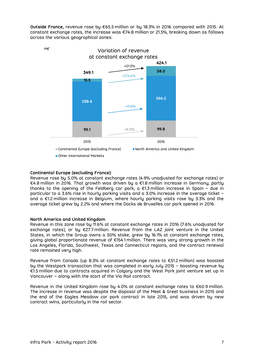**Outside France,** revenue rose by €65.5 million or by 18.3% in 2016 compared with 2015. At constant exchange rates, the increase was €74.8 million or 21.5%, breaking down as follows across the various geographical zones:



#### **Continental Europe (excluding France):**

Revenue rose by 5.0% at constant exchange rates (4.9% unadjusted for exchange rates) or €4.8 million in 2016. That growth was driven by a €1.8 million increase in Germany, partly thanks to the opening of the Feldberg car park, a €1.3 million increase in Spain – due in particular to a 3.6% rise in hourly parking visits and a 3.0% increase in the average ticket – and a €1.2 million increase in Belgium, where hourly parking visits rose by 3.3% and the average ticket grew by 2.2% and where the Docks de Bruxelles car park opened in 2016.

#### **North America and United Kingdom**

Revenue in this zone rose by 11.6% at constant exchange rates in 2016 (7.6% unadjusted for exchange rates), or by €27.7 million. Revenue from the LAZ joint venture in the United States, in which the Group owns a 50% stake, grew by 16.1% at constant exchange rates, giving global proportionate revenue of €154.1 million. There was very strong growth in the Los Angeles, Florida, Southwest, Texas and Connecticut regions, and the contract renewal rate remained very high.

Revenue from Canada (up 8.3% at constant exchange rates to €51.2 million) was boosted by the Westpark transaction that was completed in early July 2015 – boosting revenue by €1.5 million due to contracts acquired in Calgary and the West Park joint venture set up in Vancouver – along with the start of the Via Rail contract.

Revenue in the United Kingdom rose by 4.0% at constant exchange rates to €60.9 million. The increase in revenue was despite the disposal of the Meet & Greet business in 2015 and the end of the Eagles Meadow car park contract in late 2015, and was driven by new contract wins, particularly in the rail sector.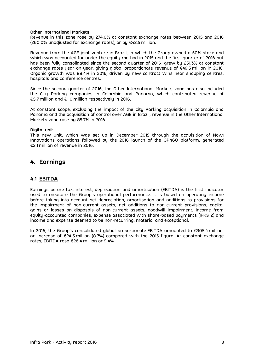#### **Other International Markets**

Revenue in this zone rose by 274.0% at constant exchange rates between 2015 and 2016 (260.0% unadjusted for exchange rates), or by €42.5 million.

Revenue from the AGE joint venture in Brazil, in which the Group owned a 50% stake and which was accounted for under the equity method in 2015 and the first quarter of 2016 but has been fully consolidated since the second quarter of 2016, grew by 251.3% at constant exchange rates year-on-year, giving global proportionate revenue of €49.5 million in 2016. Organic growth was 88.4% in 2016, driven by new contract wins near shopping centres, hospitals and conference centres.

Since the second quarter of 2016, the Other International Markets zone has also included the City Parking companies in Colombia and Panama, which contributed revenue of €5.7 million and €1.0 million respectively in 2016.

At constant scope, excluding the impact of the City Parking acquisition in Colombia and Panama and the acquisition of control over AGE in Brazil, revenue in the Other International Markets zone rose by 85.7% in 2016.

#### **Digital unit**

This new unit, which was set up in December 2015 through the acquisition of Now! Innovations operations followed by the 2016 launch of the OPnGO platform, generated €2.1 million of revenue in 2016.

## <span id="page-7-0"></span>**4. Earnings**

#### <span id="page-7-1"></span>**4.1 EBITDA**

Earnings before tax, interest, depreciation and amortisation (EBITDA) is the first indicator used to measure the Group's operational performance. It is based on operating income before taking into account net depreciation, amortisation and additions to provisions for the impairment of non-current assets, net additions to non-current provisions, capital gains or losses on disposals of non-current assets, goodwill impairment, income from equity-accounted companies, expense associated with share-based payments (IFRS 2) and income and expense deemed to be non-recurring, material and exceptional.

In 2016, the Group's consolidated global proportionate EBITDA amounted to €305.4 million, an increase of €24.5 million (8.7%) compared with the 2015 figure. At constant exchange rates, EBITDA rose €26.4 million or 9.4%.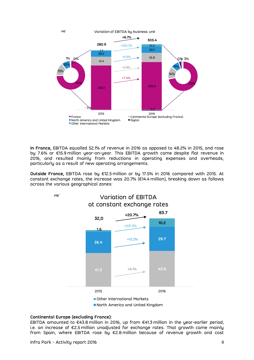

**In France,** EBITDA equalled 52.1% of revenue in 2016 as opposed to 48.2% in 2015, and rose by 7.6% or €15.9 million year-on-year. This EBITDA growth came despite flat revenue in 2016, and resulted mainly from reductions in operating expenses and overheads, particularly as a result of new operating arrangements.

**Outside France,** EBITDA rose by €12.5 million or by 17.5% in 2016 compared with 2015. At constant exchange rates, the increase was 20.7% (€14.4 million), breaking down as follows across the various geographical zones:





■ Other International Markets

■ North America and United Kingdom

#### **Continental Europe (excluding France):**

EBITDA amounted to €43.8 million in 2016, up from €41.3 million in the year-earlier period, i.e. an increase of €2.5 million unadjusted for exchange rates. That growth came mainly from Spain, where EBITDA rose by €2.8 million because of revenue growth and cost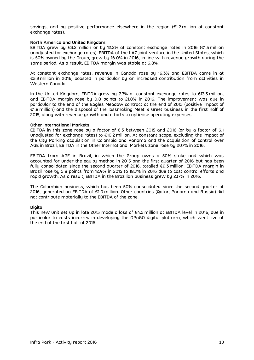savings, and by positive performance elsewhere in the region (€1.2 million at constant exchange rates).

#### **North America and United Kingdom:**

EBITDA grew by €3.2 million or by 12.2% at constant exchange rates in 2016 (€1.5 million unadjusted for exchange rates). EBITDA of the LAZ joint venture in the United States, which is 50% owned by the Group, grew by 16.0% in 2016, in line with revenue growth during the same period. As a result, EBITDA margin was stable at 6.8%.

At constant exchange rates, revenue in Canada rose by 16.3% and EBITDA came in at €5.9 million in 2016, boosted in particular by an increased contribution from activities in Western Canada.

In the United Kingdom, EBITDA grew by 7.7% at constant exchange rates to €13.3 million, and EBITDA margin rose by 0.8 points to 21.8% in 2016. The improvement was due in particular to the end of the Eagles Meadow contract at the end of 2015 (positive impact of €1.8 million) and the disposal of the lossmaking Meet & Greet business in the first half of 2015, along with revenue growth and efforts to optimise operating expenses.

#### **Other International Markets:**

EBITDA in this zone rose by a factor of 6.3 between 2015 and 2016 (or by a factor of 6.1 unadjusted for exchange rates) to €10.2 million. At constant scope, excluding the impact of the City Parking acquisition in Colombia and Panama and the acquisition of control over AGE in Brazil, EBITDA in the Other International Markets zone rose by 207% in 2016.

EBITDA from AGE in Brazil, in which the Group owns a 50% stake and which was accounted for under the equity method in 2015 and the first quarter of 2016 but has been fully consolidated since the second quarter of 2016, totalled €9.3 million. EBITDA margin in Brazil rose by 5.8 points from 12.9% in 2015 to 18.7% in 2016 due to cost control efforts and rapid growth. As a result, EBITDA in the Brazilian business grew by 237% in 2016.

The Colombian business, which has been 50% consolidated since the second quarter of 2016, generated an EBITDA of €1.0 million. Other countries (Qatar, Panama and Russia) did not contribute materially to the EBITDA of the zone.

#### **Digital**

This new unit set up in late 2015 made a loss of €4.5 million at EBITDA level in 2016, due in particular to costs incurred in developing the OPnGO digital platform, which went live at the end of the first half of 2016.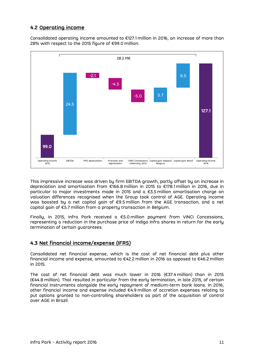## <span id="page-10-0"></span>**4.2 Operating income**

Consolidated operating income amounted to €127.1 million in 2016, an increase of more than 28% with respect to the 2015 figure of €99.0 million.



This impressive increase was driven by firm EBITDA growth, partly offset by an increase in depreciation and amortisation from €166.8 million in 2015 to €178.1 million in 2016, due in particular to major investments made in 2015 and a €3.5 million amortisation charge on valuation differences recognised when the Group took control of AGE. Operating income was boosted by a net capital gain of €9.5 million from the AGE transaction, and a net capital gain of €5.7 million from a property transaction in Belgium.

Finally, in 2015, Infra Park received a €5.0 million payment from VINCI Concessions, representing a reduction in the purchase price of Indigo Infra shares in return for the early termination of certain guarantees.

### <span id="page-10-1"></span>**4.3 Net financial income/expense (IFRS)**

Consolidated net financial expense, which is the cost of net financial debt plus other financial income and expense, amounted to €42.2 million in 2016 as opposed to €46.2 million in 2015.

The cost of net financial debt was much lower in 2016 (€37.4 million) than in 2015 (€44.8 million). That resulted in particular from the early termination, in late 2015, of certain financial instruments alongside the early repayment of medium-term bank loans. In 2016, other financial income and expense included €4.9 million of accretion expenses relating to put options granted to non-controlling shareholders as part of the acquisition of control over AGE in Brazil.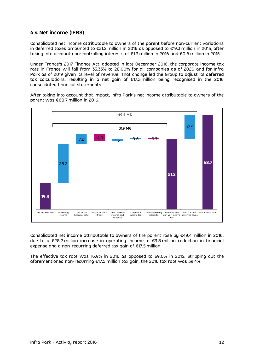### <span id="page-11-0"></span>**4.4 Net income (IFRS)**

Consolidated net income attributable to owners of the parent before non-current variations in deferred taxes amounted to €51.2 million in 2016 as opposed to €19.3 million in 2015, after taking into account non-controlling interests of €1.3 million in 2016 and €0.6 million in 2015.

Under France's 2017 Finance Act, adopted in late December 2016, the corporate income tax rate in France will fall from 33.33% to 28.00% for all companies as of 2020 and for Infra Park as of 2019 given its level of revenue. That change led the Group to adjust its deferred tax calculations, resulting in a net gain of €17.5 million being recognised in the 2016 consolidated financial statements.

After taking into account that impact, Infra Park's net income attributable to owners of the parent was €68.7 million in 2016.



Consolidated net income attributable to owners of the parent rose by €49.4 million in 2016, due to a €28.2 million increase in operating income, a €3.8 million reduction in financial expense and a non-recurring deferred tax gain of €17.5 million.

The effective tax rate was 16.9% in 2016 as opposed to 69.0% in 2015. Stripping out the aforementioned non-recurring €17.5 million tax gain, the 2016 tax rate was 39.4%.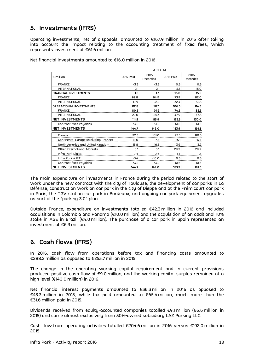# <span id="page-12-0"></span>**5. Investments (IFRS)**

Operating investments, net of disposals, amounted to €167.9 million in 2016 after taking into account the impact relating to the accounting treatment of fixed fees, which represents investment of €61.6 million.

|                                                                                                                                                                                                                                                                                                                 | <b>ACTUAL</b> |                  |               |                  |  |
|-----------------------------------------------------------------------------------------------------------------------------------------------------------------------------------------------------------------------------------------------------------------------------------------------------------------|---------------|------------------|---------------|------------------|--|
| $\epsilon$ million                                                                                                                                                                                                                                                                                              | 2015 Paid     | 2015<br>Recorded | 2016 Paid     | 2016<br>Recorded |  |
| <b>FRANCE</b>                                                                                                                                                                                                                                                                                                   | -3.3          | $-3.3$           | 0.5           | 0.5              |  |
| <b>INTERNATIONAL</b>                                                                                                                                                                                                                                                                                            | 2.1           | 2.1              | 15.5          | 15.0             |  |
| <b>FINANCIAL INVESTMENTS</b>                                                                                                                                                                                                                                                                                    | $-1.2$        | $-1.3$           | 16.0          | 15.5             |  |
| <b>FRANCE</b>                                                                                                                                                                                                                                                                                                   | 92.8          | 94.9             | 73.9          | 82.0             |  |
| <b>INTERNATIONAL</b>                                                                                                                                                                                                                                                                                            | 19.9          | 22.2             | 32.4          | 32.5             |  |
| OPERATIONAL INVESTMENTS                                                                                                                                                                                                                                                                                         | 112.8         | 117.1            | 106.3         | 114.5            |  |
| <b>FRANCE</b>                                                                                                                                                                                                                                                                                                   | 89.5          | 91.6             | 74.5          | 82.5             |  |
| <b>INTERNATIONAL</b>                                                                                                                                                                                                                                                                                            | 22.0          | 24.3             | 47.9          | 47.5             |  |
| <b>NET INVESTMENTS</b><br>Contract fixed royalties                                                                                                                                                                                                                                                              | 111.5<br>33.2 | 115.9<br>33.2    | 122.3<br>61.6 | 130.0<br>61.6    |  |
| <b>NET INVESTMENTS</b>                                                                                                                                                                                                                                                                                          | 144.7         | 149.0            | 183.9         | 191.6            |  |
|                                                                                                                                                                                                                                                                                                                 |               |                  |               |                  |  |
| France                                                                                                                                                                                                                                                                                                          | 92.5          | 101.0            | 72.5          | 80.5             |  |
| Continental Europe (excluding France)                                                                                                                                                                                                                                                                           | 8.0           | 7.7              | 15.1          | 15.4             |  |
| North America and United Kingdom                                                                                                                                                                                                                                                                                | 13.8          | 16.5             | 3.9           | 3.2              |  |
| Other International Markets                                                                                                                                                                                                                                                                                     | 0.1           | 0.1              | 28.9          | 28.9             |  |
| Infra Park Digital                                                                                                                                                                                                                                                                                              | 0.4           | 0.6              | 1.4           | 1.5              |  |
| Infra Park + IFT                                                                                                                                                                                                                                                                                                | -3.4          | $-10.0$          | 0.5           | 0.5              |  |
| Contract fixed royalties                                                                                                                                                                                                                                                                                        | 33.2          | 33.2             | 61.6          | 61.6             |  |
| <b>NET INVESTMENTS</b>                                                                                                                                                                                                                                                                                          | 144.7         | 149.0            | 183.9         | 191.6            |  |
| Outside France, expenditure on investments totalled €42.3 million in 2016 anc<br>acquisitions in Colombia and Panama (€10.0 million) and the acquisition of an addi<br>stake in AGE in Brazil (€4.0 million). The purchase of a car park in Spain repre:<br>investment of €6.3 million.<br>6. Cash flows (IFRS) |               |                  |               |                  |  |
| In 2016, cash flow from operations before tax and financing costs amc<br>€288.2 million as opposed to €255.7 million in 2015.                                                                                                                                                                                   |               |                  |               |                  |  |
| The change in the operating working capital requirement and in current p<br>produced positive cash flow of $\epsilon$ 9.0 million, and the working capital surplus rem $\epsilon$<br>high level (€140.0 million) in 2016.                                                                                       |               |                  |               |                  |  |
| Net financial interest payments amounted to €36.3 million in 2016 as op<br>€43.3 million in 2015, while tax paid amounted to €65.4 million, much more<br>€31.6 million paid in 2015.                                                                                                                            |               |                  |               |                  |  |
| Dividends received from equity-accounted companies totalled €9.1 million (€6.6<br>2015) and came almost exclusively from 50%-owned subsidiary LAZ Parking LLC.                                                                                                                                                  |               |                  |               |                  |  |
| Cash flow from operating activities totalled €204.6 million in 2016 versus €192.0<br>2015.                                                                                                                                                                                                                      |               |                  |               |                  |  |

Net financial investments amounted to €16.0 million in 2016.

The main expenditure on investments in France during the period related to the start of work under the new contract with the city of Toulouse, the development of car parks in La Défense, construction work on car park in the city of Dieppe and at the Frémicourt car park in Paris, the TGV station car park in Bordeaux, and ongoing car park equipment upgrades as part of the "parking 3.0" plan.

Outside France, expenditure on investments totalled €42.3 million in 2016 and included acquisitions in Colombia and Panama (€10.0 million) and the acquisition of an additional 10% stake in AGE in Brazil (€4.0 million). The purchase of a car park in Spain represented an investment of €6.3 million.

# <span id="page-12-1"></span>**6. Cash flows (IFRS)**

In 2016, cash flow from operations before tax and financing costs amounted to €288.2 million as opposed to €255.7 million in 2015.

The change in the operating working capital requirement and in current provisions produced positive cash flow of €9.0 million, and the working capital surplus remained at a high level (€140.0 million) in 2016.

Net financial interest payments amounted to €36.3 million in 2016 as opposed to €43.3 million in 2015, while tax paid amounted to €65.4 million, much more than the €31.6 million paid in 2015.

Dividends received from equity-accounted companies totalled €9.1 million (€6.6 million in 2015) and came almost exclusively from 50%-owned subsidiary LAZ Parking LLC.

Cash flow from operating activities totalled €204.6 million in 2016 versus €192.0 million in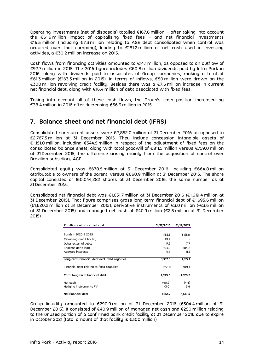Operating investments (net of disposals) totalled €167.6 million – after taking into account the €61.6 million impact of capitalising fixed fees – and net financial investments €16.5 million (including €7.3 million relating to AGE debt consolidated when control was acquired over that company), leading to €181.2 million of net cash used in investing activities, a €30.2 million increase on 2015.

Cash flows from financing activities amounted to €14.1 million, as opposed to an outflow of €92.7 million in 2015. The 2016 figure includes €60.8 million dividends paid by Infra Park in 2016, along with dividends paid to associates of Group companies, making a total of €61.3 million (€163.3 million in 2015). In terms of inflows, €50 million were drawn on the €300 million revolving credit facility. Besides there was a €7.6 million increase in current net financial debt, along with €16.4 million of debt associated with fixed fees.

Taking into account all of these cash flows, the Group's cash position increased by €38.4 million in 2016 after decreasing €56.3 million in 2015.

# <span id="page-13-0"></span>**7. Balance sheet and net financial debt (IFRS)**

Consolidated non-current assets were €2,852.0 million at 31 December 2016 as opposed to €2,767.5 million at 31 December 2015. They include concession intangible assets of €1,151.0 million, including €344.5 million in respect of the adjustment of fixed fees on the consolidated balance sheet, along with total goodwill of €811.5 million versus €759.0 million at 31 December 2015, the difference arising mainly from the acquisition of control over Brazilian subsidiary AGE.

Consolidated equity was €678.5 million at 31 December 2016, including €664.8 million attributable to owners of the parent, versus €660.9 million at 31 December 2015. The share capital consisted of 160,044,282 shares at 31 December 2016, the same number as at 31 December 2015.

Consolidated net financial debt was €1,651.7 million at 31 December 2016 (€1,619.4 million at 31 December 2015). That figure comprises gross long-term financial debt of €1,695.6 million (€1,620.2 million at 31 December 2015), derivative instruments of €3.0 million (-€3.6 million at 31 December 2015) and managed net cash of €40.9 million (€2.5 million at 31 December 2015).

| $\epsilon$ million - at amortized cost                                                                                                                                                                                                              | 31/12/2016 | 31/12/2015 |
|-----------------------------------------------------------------------------------------------------------------------------------------------------------------------------------------------------------------------------------------------------|------------|------------|
|                                                                                                                                                                                                                                                     |            |            |
| Bonds - 2020 & 2025                                                                                                                                                                                                                                 | 1,155.5    | 1,153.8    |
| Revolving credit facility                                                                                                                                                                                                                           | 49.2       |            |
| Other external debts                                                                                                                                                                                                                                | 17.2       | 7.7        |
| Shoreholder's loon                                                                                                                                                                                                                                  | 104.2      | 104.2      |
| Accrued interests                                                                                                                                                                                                                                   | 11.4       | 11.3       |
|                                                                                                                                                                                                                                                     |            |            |
| Long-term financial debt excl. fixed royalties                                                                                                                                                                                                      | 1.337.6    | 1,277.1    |
| Financial debt related to fixed royalties                                                                                                                                                                                                           | 358.0      | 343.1      |
| Total long-term financial debt                                                                                                                                                                                                                      | 1,695.6    | 1,620.2    |
| Net cosh                                                                                                                                                                                                                                            | (40.9)     | (4.4)      |
| Hedging instruments FV                                                                                                                                                                                                                              | (3.0)      | 3.6        |
| Net financial debt<br>the control of the control of the control of the control of the control of the control of the control of the control of the control of the control of the control of the control of the control of the control of the control | 1,651.7    | 1.619.4    |

Group liquidity amounted to €290.9 million at 31 December 2016 (€304.4 million at 31 December 2015). It consisted of €40.9 million of managed net cash and €250 million relating to the unused portion of a confirmed bank credit facility at 31 December 2016 due to expire in October 2021 (total amount of that facility is €300 million).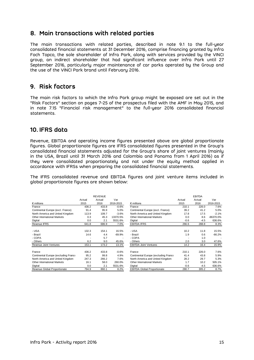# <span id="page-14-0"></span>**8. Main transactions with related parties**

The main transactions with related parties, described in note 9.1 to the full-year consolidated financial statements at 31 December 2016, comprise financing granted by Infra Foch Topco, the sole shareholder of Infra Park, along with services provided by the VINCI group, an indirect shareholder that had significant influence over Infra Park until 27 September 2016, particularly major maintenance of car parks operated by the Group and the use of the VINCI Park brand until February 2016.

# <span id="page-14-1"></span>**9. Risk factors**

The main risk factors to which the Infra Park group might be exposed are set out in the "Risk Factors" section on pages 7-25 of the prospectus filed with the AMF in May 2015, and in note 7.15 "Financial risk management" to the full-year 2016 consolidated financial statements.

# <span id="page-14-2"></span>**10. IFRS data**

Revenue, EBITDA and operating income figures presented above are global proportionate figures. Global proportionate figures are IFRS consolidated figures presented in the Group's consolidated financial statements adjusted for the Group's share of joint ventures (mainly in the USA, Brazil until 31 March 2016 and Colombia and Panama from 1 April 2016) as if they were consolidated proportionately and not under the equity method applied in accordance with IFRSs when preparing the consolidated financial statements.

The IFRS consolidated revenue and EBITDA figures and joint venture items included in global proportionate figures are shown below:

|                                      |        | <b>REVENUE</b> |           |                                      |        | <b>EBITDA</b> |           |
|--------------------------------------|--------|----------------|-----------|--------------------------------------|--------|---------------|-----------|
|                                      | Actual | Actual         | Var       |                                      | Actual | Actual        | Var       |
| $\epsilon$ millions                  | 2015   | 2016           | 2016-2015 | $\epsilon$ millions                  | 2015   | 2016          | 2016-2015 |
| France                               | 436.2  | 433.8          | $-0.6%$   | France                               | 210.1  | 226.0         | 7.6%      |
| Continental Europe (excl. France)    | 91.4   | 95.9           | 5.0%      | Continental Europe (excl. France)    | 39.2   | 41.2          | 5.0%      |
| North America and United Kingdom     | 113.9  | 109.7          | $-3.6%$   | North America and United Kingdom     | 17.8   | 17.5          | $-2.1%$   |
| Other International Markets          | 0.3    | 45.3           | 13370.5%  | Other International Markets          | 0.0    | 8.6           | -86370.0% |
| Digital                              | 0.0    | 2.1            | 5531.6%   | Digital                              | $-0.6$ | -4.5          | 636.6%    |
| Revenue IFRS                         | 641.8  | 686.9          | 7.0%      | <b>EBITDA IFRS</b>                   | 266.6  | 288.8         | 8.3%      |
|                                      |        |                |           |                                      |        |               |           |
| - USA                                | 132.3  | 154.1          | 16.5%     | - USA                                | 10.2   | 11.8          | 15.5%     |
| - Brazil                             | 14.6   | 4.4            | $-69.9%$  | - Brazil                             | 1.9    | 0.6           | $-66.2%$  |
| - COPA                               |        | 5.7            |           | - COPA                               |        | 1.0           |           |
| - Others                             | 6.2    | 9.0            | 45.6%     | - Others                             | 2.0    | 3.0           | 47.6%     |
| Revenue Joint Ventures               | 153.1  | 173.2          | 13.1%     | <b>EBITDA Joint Ventures</b>         | 14.2   | 16.4          | 15.9%     |
|                                      |        |                |           |                                      |        |               |           |
| France                               | 436.2  | 433.8          | $-0.6%$   | France                               | 210.1  | 226.0         | 7.6%      |
| Continental Europe (excluding France | 95.2   | 99.8           | 4.9%      | Continental Europe (excluding France | 41.4   | 43.8          | 5.9%      |
| North America and United Kingdom     | 247.3  | 266.2          | 7.6%      | North America and United Kingdom     | 28.2   | 29.7          | 5.3%      |
| Other International Markets          | 16.1   | 58.0           | 260.0%    | <b>Other International Markets</b>   | 1.7    | 10.2          | 505.1%    |
| Digital                              | 0.0    | 2.1            | 5531.6%   | Digital                              | $-0.6$ | $-4.5$        | 636.6%    |
| Revenue Global Proportionate         | 794.9  | 860.1          | 8.2%      | <b>EBITDA Global Proportionate</b>   | 280.7  | 305.2         | 8.7%      |